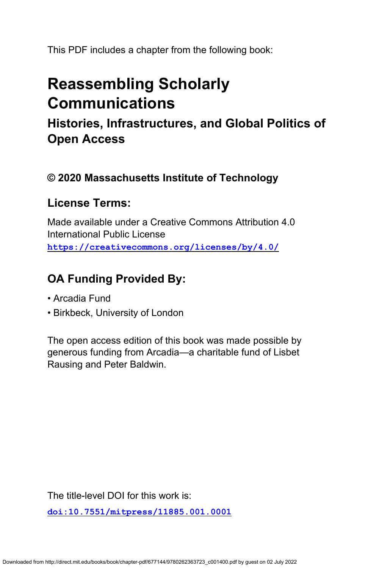This PDF includes a chapter from the following book:

# **Reassembling Scholarly Communications**

**Histories, Infrastructures, and Global Politics of Open Access**

### **© 2020 Massachusetts Institute of Technology**

### **License Terms:**

Made available under a Creative Commons Attribution 4.0 International Public License **<https://creativecommons.org/licenses/by/4.0/>**

## **OA Funding Provided By:**

- Arcadia Fund
- Birkbeck, University of London

The open access edition of this book was made possible by generous funding from Arcadia—a charitable fund of Lisbet Rausing and Peter Baldwin.

The title-level DOI for this work is:

**[doi:10.7551/mitpress/11885.001.0001](https://doi.org/10.7551/mitpress/11885.001.0001)**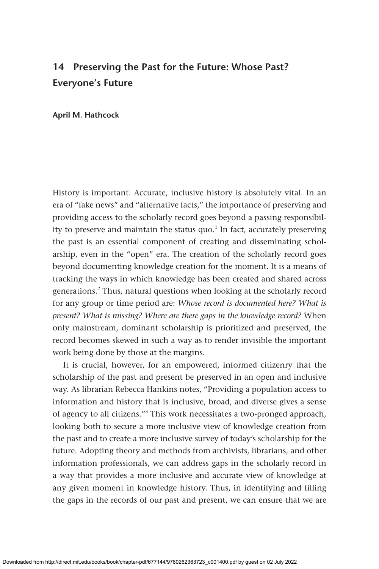### **14 Preserving the Past for the Future: Whose Past? Everyone's Future**

**April M. Hathcock**

History is important. Accurate, inclusive history is absolutely vital. In an era of "fake news" and "alternative facts," the importance of preserving and providing access to the scholarly record goes beyond a passing responsibility to preserve and maintain the status quo.<sup>1</sup> In fact, accurately preserving the past is an essential component of creating and disseminating scholarship, even in the "open" era. The creation of the scholarly record goes beyond documenting knowledge creation for the moment. It is a means of tracking the ways in which knowledge has been created and shared across generations.<sup>2</sup> Thus, natural questions when looking at the scholarly record for any group or time period are: *Whose record is documented here? What is present? What is missing? Where are there gaps in the knowledge record?* When only mainstream, dominant scholarship is prioritized and preserved, the record becomes skewed in such a way as to render invisible the important work being done by those at the margins.

It is crucial, however, for an empowered, informed citizenry that the scholarship of the past and present be preserved in an open and inclusive way. As librarian Rebecca Hankins notes, "Providing a population access to information and history that is inclusive, broad, and diverse gives a sense of agency to all citizens."<sup>3</sup> This work necessitates a two-pronged approach, looking both to secure a more inclusive view of knowledge creation from the past and to create a more inclusive survey of today's scholarship for the future. Adopting theory and methods from archivists, librarians, and other information professionals, we can address gaps in the scholarly record in a way that provides a more inclusive and accurate view of knowledge at any given moment in knowledge history. Thus, in identifying and filling the gaps in the records of our past and present, we can ensure that we are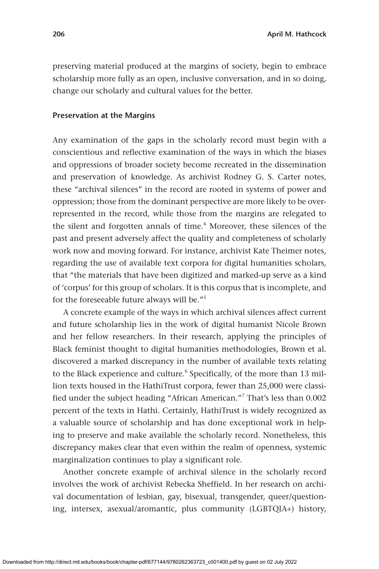preserving material produced at the margins of society, begin to embrace scholarship more fully as an open, inclusive conversation, and in so doing, change our scholarly and cultural values for the better.

#### **Preservation at the Margins**

Any examination of the gaps in the scholarly record must begin with a conscientious and reflective examination of the ways in which the biases and oppressions of broader society become recreated in the dissemination and preservation of knowledge. As archivist Rodney G. S. Carter notes, these "archival silences" in the record are rooted in systems of power and oppression; those from the dominant perspective are more likely to be overrepresented in the record, while those from the margins are relegated to the silent and forgotten annals of time.<sup>4</sup> Moreover, these silences of the past and present adversely affect the quality and completeness of scholarly work now and moving forward. For instance, archivist Kate Theimer notes, regarding the use of available text corpora for digital humanities scholars, that "the materials that have been digitized and marked-up serve as a kind of 'corpus' for this group of scholars. It is this corpus that is incomplete, and for the foreseeable future always will be."5

A concrete example of the ways in which archival silences affect current and future scholarship lies in the work of digital humanist Nicole Brown and her fellow researchers. In their research, applying the principles of Black feminist thought to digital humanities methodologies, Brown et al. discovered a marked discrepancy in the number of available texts relating to the Black experience and culture.<sup>6</sup> Specifically, of the more than 13 million texts housed in the HathiTrust corpora, fewer than 25,000 were classified under the subject heading "African American."<sup>7</sup> That's less than 0.002 percent of the texts in Hathi. Certainly, HathiTrust is widely recognized as a valuable source of scholarship and has done exceptional work in helping to preserve and make available the scholarly record. Nonetheless, this discrepancy makes clear that even within the realm of openness, systemic marginalization continues to play a significant role.

Another concrete example of archival silence in the scholarly record involves the work of archivist Rebecka Sheffield. In her research on archival documentation of lesbian, gay, bisexual, transgender, queer/questioning, intersex, asexual/aromantic, plus community (LGBTQIA+) history,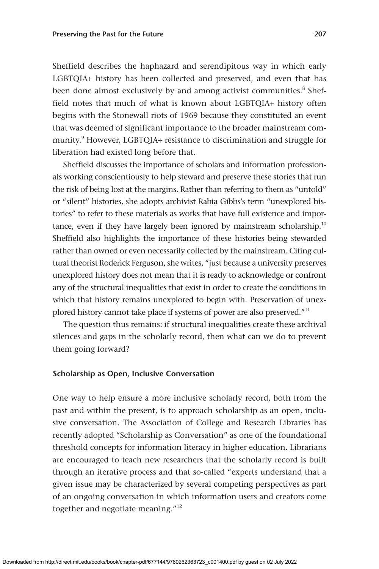Sheffield describes the haphazard and serendipitous way in which early LGBTQIA+ history has been collected and preserved, and even that has been done almost exclusively by and among activist communities.<sup>8</sup> Sheffield notes that much of what is known about LGBTQIA+ history often begins with the Stonewall riots of 1969 because they constituted an event that was deemed of significant importance to the broader mainstream community.<sup>9</sup> However, LGBTQIA+ resistance to discrimination and struggle for liberation had existed long before that.

Sheffield discusses the importance of scholars and information professionals working conscientiously to help steward and preserve these stories that run the risk of being lost at the margins. Rather than referring to them as "untold" or "silent" histories, she adopts archivist Rabia Gibbs's term "unexplored histories" to refer to these materials as works that have full existence and importance, even if they have largely been ignored by mainstream scholarship.<sup>10</sup> Sheffield also highlights the importance of these histories being stewarded rather than owned or even necessarily collected by the mainstream. Citing cultural theorist Roderick Ferguson, she writes, "just because a university preserves unexplored history does not mean that it is ready to acknowledge or confront any of the structural inequalities that exist in order to create the conditions in which that history remains unexplored to begin with. Preservation of unexplored history cannot take place if systems of power are also preserved."11

The question thus remains: if structural inequalities create these archival silences and gaps in the scholarly record, then what can we do to prevent them going forward?

#### **Scholarship as Open, Inclusive Conversation**

One way to help ensure a more inclusive scholarly record, both from the past and within the present, is to approach scholarship as an open, inclusive conversation. The Association of College and Research Libraries has recently adopted "Scholarship as Conversation" as one of the foundational threshold concepts for information literacy in higher education. Librarians are encouraged to teach new researchers that the scholarly record is built through an iterative process and that so-called "experts understand that a given issue may be characterized by several competing perspectives as part of an ongoing conversation in which information users and creators come together and negotiate meaning."<sup>12</sup>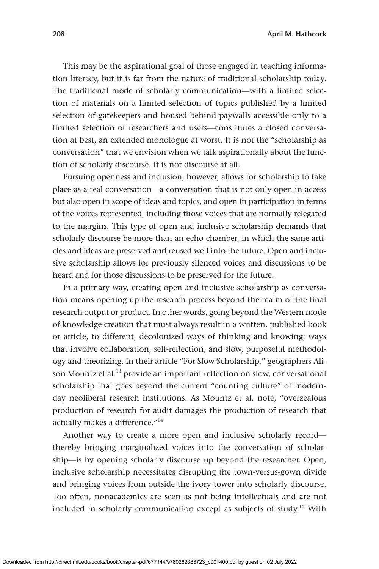This may be the aspirational goal of those engaged in teaching information literacy, but it is far from the nature of traditional scholarship today. The traditional mode of scholarly communication—with a limited selection of materials on a limited selection of topics published by a limited selection of gatekeepers and housed behind paywalls accessible only to a limited selection of researchers and users—constitutes a closed conversation at best, an extended monologue at worst. It is not the "scholarship as conversation" that we envision when we talk aspirationally about the function of scholarly discourse. It is not discourse at all.

Pursuing openness and inclusion, however, allows for scholarship to take place as a real conversation—a conversation that is not only open in access but also open in scope of ideas and topics, and open in participation in terms of the voices represented, including those voices that are normally relegated to the margins. This type of open and inclusive scholarship demands that scholarly discourse be more than an echo chamber, in which the same articles and ideas are preserved and reused well into the future. Open and inclusive scholarship allows for previously silenced voices and discussions to be heard and for those discussions to be preserved for the future.

In a primary way, creating open and inclusive scholarship as conversation means opening up the research process beyond the realm of the final research output or product. In other words, going beyond the Western mode of knowledge creation that must always result in a written, published book or article, to different, decolonized ways of thinking and knowing; ways that involve collaboration, self-reflection, and slow, purposeful methodology and theorizing. In their article "For Slow Scholarship," geographers Alison Mountz et al.<sup>13</sup> provide an important reflection on slow, conversational scholarship that goes beyond the current "counting culture" of modernday neoliberal research institutions. As Mountz et al. note, "overzealous production of research for audit damages the production of research that actually makes a difference."14

Another way to create a more open and inclusive scholarly record thereby bringing marginalized voices into the conversation of scholarship—is by opening scholarly discourse up beyond the researcher. Open, inclusive scholarship necessitates disrupting the town-versus-gown divide and bringing voices from outside the ivory tower into scholarly discourse. Too often, nonacademics are seen as not being intellectuals and are not included in scholarly communication except as subjects of study.<sup>15</sup> With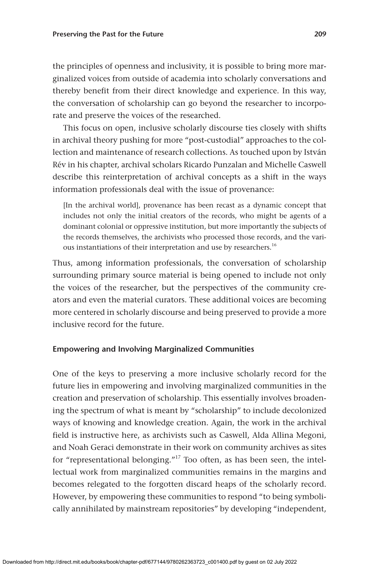the principles of openness and inclusivity, it is possible to bring more marginalized voices from outside of academia into scholarly conversations and thereby benefit from their direct knowledge and experience. In this way, the conversation of scholarship can go beyond the researcher to incorporate and preserve the voices of the researched.

This focus on open, inclusive scholarly discourse ties closely with shifts in archival theory pushing for more "post-custodial" approaches to the collection and maintenance of research collections. As touched upon by István Rév in his chapter, archival scholars Ricardo Punzalan and Michelle Caswell describe this reinterpretation of archival concepts as a shift in the ways information professionals deal with the issue of provenance:

[In the archival world], provenance has been recast as a dynamic concept that includes not only the initial creators of the records, who might be agents of a dominant colonial or oppressive institution, but more importantly the subjects of the records themselves, the archivists who processed those records, and the various instantiations of their interpretation and use by researchers.<sup>16</sup>

Thus, among information professionals, the conversation of scholarship surrounding primary source material is being opened to include not only the voices of the researcher, but the perspectives of the community creators and even the material curators. These additional voices are becoming more centered in scholarly discourse and being preserved to provide a more inclusive record for the future.

### **Empowering and Involving Marginalized Communities**

One of the keys to preserving a more inclusive scholarly record for the future lies in empowering and involving marginalized communities in the creation and preservation of scholarship. This essentially involves broadening the spectrum of what is meant by "scholarship" to include decolonized ways of knowing and knowledge creation. Again, the work in the archival field is instructive here, as archivists such as Caswell, Alda Allina Megoni, and Noah Geraci demonstrate in their work on community archives as sites for "representational belonging."17 Too often, as has been seen, the intellectual work from marginalized communities remains in the margins and becomes relegated to the forgotten discard heaps of the scholarly record. However, by empowering these communities to respond "to being symbolically annihilated by mainstream repositories" by developing "independent,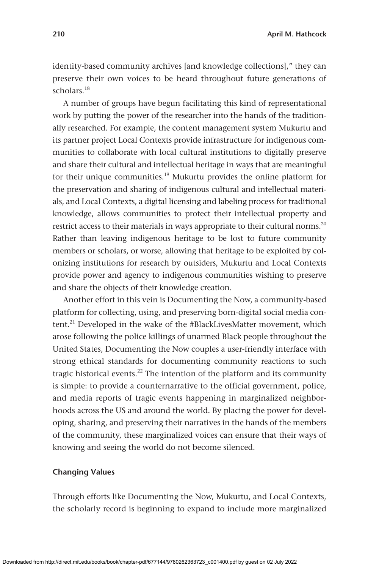identity-based community archives [and knowledge collections]," they can preserve their own voices to be heard throughout future generations of scholars.18

A number of groups have begun facilitating this kind of representational work by putting the power of the researcher into the hands of the traditionally researched. For example, the content management system Mukurtu and its partner project Local Contexts provide infrastructure for indigenous communities to collaborate with local cultural institutions to digitally preserve and share their cultural and intellectual heritage in ways that are meaningful for their unique communities.<sup>19</sup> Mukurtu provides the online platform for the preservation and sharing of indigenous cultural and intellectual materials, and Local Contexts, a digital licensing and labeling process for traditional knowledge, allows communities to protect their intellectual property and restrict access to their materials in ways appropriate to their cultural norms.<sup>20</sup> Rather than leaving indigenous heritage to be lost to future community members or scholars, or worse, allowing that heritage to be exploited by colonizing institutions for research by outsiders, Mukurtu and Local Contexts provide power and agency to indigenous communities wishing to preserve and share the objects of their knowledge creation.

Another effort in this vein is Documenting the Now, a community-based platform for collecting, using, and preserving born-digital social media content.<sup>21</sup> Developed in the wake of the #BlackLivesMatter movement, which arose following the police killings of unarmed Black people throughout the United States, Documenting the Now couples a user-friendly interface with strong ethical standards for documenting community reactions to such tragic historical events.<sup>22</sup> The intention of the platform and its community is simple: to provide a counternarrative to the official government, police, and media reports of tragic events happening in marginalized neighborhoods across the US and around the world. By placing the power for developing, sharing, and preserving their narratives in the hands of the members of the community, these marginalized voices can ensure that their ways of knowing and seeing the world do not become silenced.

#### **Changing Values**

Through efforts like Documenting the Now, Mukurtu, and Local Contexts, the scholarly record is beginning to expand to include more marginalized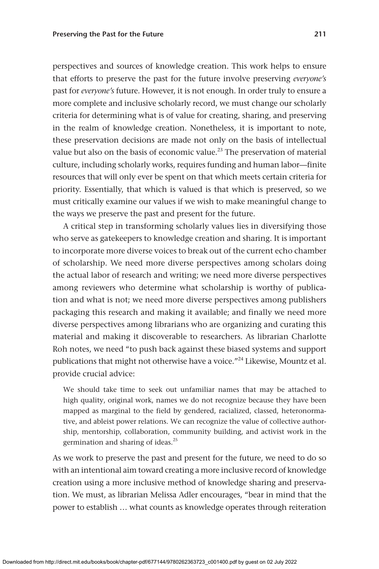perspectives and sources of knowledge creation. This work helps to ensure that efforts to preserve the past for the future involve preserving *everyone's* past for *everyone's* future. However, it is not enough. In order truly to ensure a more complete and inclusive scholarly record, we must change our scholarly criteria for determining what is of value for creating, sharing, and preserving in the realm of knowledge creation. Nonetheless, it is important to note, these preservation decisions are made not only on the basis of intellectual value but also on the basis of economic value.<sup>23</sup> The preservation of material culture, including scholarly works, requires funding and human labor—finite resources that will only ever be spent on that which meets certain criteria for priority. Essentially, that which is valued is that which is preserved, so we must critically examine our values if we wish to make meaningful change to the ways we preserve the past and present for the future.

A critical step in transforming scholarly values lies in diversifying those who serve as gatekeepers to knowledge creation and sharing. It is important to incorporate more diverse voices to break out of the current echo chamber of scholarship. We need more diverse perspectives among scholars doing the actual labor of research and writing; we need more diverse perspectives among reviewers who determine what scholarship is worthy of publication and what is not; we need more diverse perspectives among publishers packaging this research and making it available; and finally we need more diverse perspectives among librarians who are organizing and curating this material and making it discoverable to researchers. As librarian Charlotte Roh notes, we need "to push back against these biased systems and support publications that might not otherwise have a voice."<sup>24</sup> Likewise, Mountz et al. provide crucial advice:

We should take time to seek out unfamiliar names that may be attached to high quality, original work, names we do not recognize because they have been mapped as marginal to the field by gendered, racialized, classed, heteronormative, and ableist power relations. We can recognize the value of collective authorship, mentorship, collaboration, community building, and activist work in the germination and sharing of ideas.<sup>25</sup>

As we work to preserve the past and present for the future, we need to do so with an intentional aim toward creating a more inclusive record of knowledge creation using a more inclusive method of knowledge sharing and preservation. We must, as librarian Melissa Adler encourages, "bear in mind that the power to establish … what counts as knowledge operates through reiteration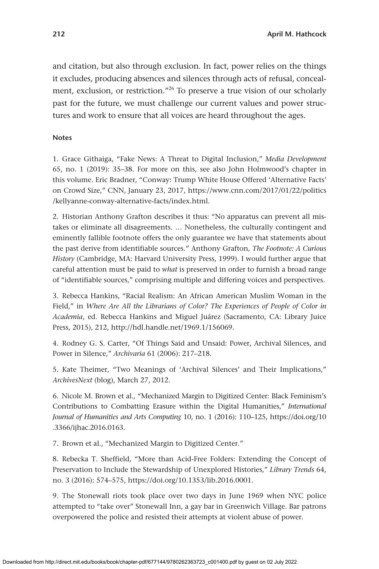and citation, but also through exclusion. In fact, power relies on the things it excludes, producing absences and silences through acts of refusal, concealment, exclusion, or restriction."<sup>26</sup> To preserve a true vision of our scholarly past for the future, we must challenge our current values and power structures and work to ensure that all voices are heard throughout the ages.

#### **Notes**

1. Grace Githaiga, "Fake News: A Threat to Digital Inclusion," *Media Development* 65, no. 1 (2019): 35–38. For more on this, see also John Holmwood's chapter in this volume. Eric Bradner, "Conway: Trump White House Offered 'Alternative Facts' on Crowd Size," CNN, January 23, 2017, [https://www.cnn.com/2017/01/22/politics](https://www.cnn.com/2017/01/22/politics/kellyanne-conway-alternative-facts/index.html) [/kellyanne-conway-alternative-facts/index.html.](https://www.cnn.com/2017/01/22/politics/kellyanne-conway-alternative-facts/index.html)

2. Historian Anthony Grafton describes it thus: "No apparatus can prevent all mistakes or eliminate all disagreements. … Nonetheless, the culturally contingent and eminently fallible footnote offers the only guarantee we have that statements about the past derive from identifiable sources." Anthony Grafton, *The Footnote: A Curious History* (Cambridge, MA: Harvard University Press, 1999). I would further argue that careful attention must be paid to *what* is preserved in order to furnish a broad range of "identifiable sources," comprising multiple and differing voices and perspectives.

3. Rebecca Hankins, "Racial Realism: An African American Muslim Woman in the Field," in *Where Are All the Librarians of Color? The Experiences of People of Color in Academia*, ed. Rebecca Hankins and Miguel Juárez (Sacramento, CA: Library Juice Press, 2015), 212, [http://hdl.handle.net/1969.1/156069.](http://hdl.handle.net/1969.1/156069)

4. Rodney G. S. Carter, "Of Things Said and Unsaid: Power, Archival Silences, and Power in Silence," *Archivaria* 61 (2006): 217–218.

5. Kate Theimer, "Two Meanings of 'Archival Silences' and Their Implications," *ArchivesNext* (blog), March 27, 2012.

6. Nicole M. Brown et al., "Mechanized Margin to Digitized Center: Black Feminism's Contributions to Combatting Erasure within the Digital Humanities," *International Journal of Humanities and Arts Computing* 10, no. 1 (2016): 110–125, [https://doi.org/10](https://doi.org/10.3366/ijhac.2016.0163) [.3366/ijhac.2016.0163](https://doi.org/10.3366/ijhac.2016.0163).

7. Brown et al., "Mechanized Margin to Digitized Center."

8. Rebecka T. Sheffield, "More than Acid-Free Folders: Extending the Concept of Preservation to Include the Stewardship of Unexplored Histories," *Library Trends* 64, no. 3 (2016): 574–575, [https://doi.org/10.1353/lib.2016.0001.](https://doi.org/10.1353/lib.2016.0001)

9. The Stonewall riots took place over two days in June 1969 when NYC police attempted to "take over" Stonewall Inn, a gay bar in Greenwich Village. Bar patrons overpowered the police and resisted their attempts at violent abuse of power.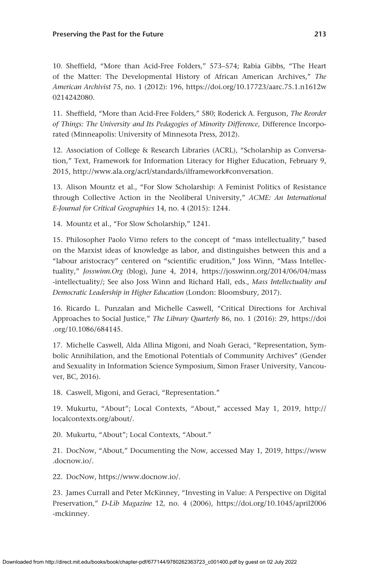10. Sheffield, "More than Acid-Free Folders," 573–574; Rabia Gibbs, "The Heart of the Matter: The Developmental History of African American Archives," *The American Archivist* 75, no. 1 (2012): 196, [https://doi.org/10.17723/aarc.75.1.n1612w](https://doi.org/10.17723/aarc.75.1.n1612w0214242080) [0214242080.](https://doi.org/10.17723/aarc.75.1.n1612w0214242080)

11. Sheffield, "More than Acid-Free Folders," 580; Roderick A. Ferguson, *The Reorder of Things: The University and Its Pedagogies of Minority Difference*, Difference Incorporated (Minneapolis: University of Minnesota Press, 2012).

12. Association of College & Research Libraries (ACRL), "Scholarship as Conversation," Text, Framework for Information Literacy for Higher Education, February 9, 2015, <http://www.ala.org/acrl/standards/ilframework#conversation>.

13. Alison Mountz et al., "For Slow Scholarship: A Feminist Politics of Resistance through Collective Action in the Neoliberal University," *ACME: An International E-Journal for Critical Geographies* 14, no. 4 (2015): 1244.

14. Mountz et al., "For Slow Scholarship," 1241.

15. Philosopher Paolo Virno refers to the concept of "mass intellectuality," based on the Marxist ideas of knowledge as labor, and distinguishes between this and a "labour aristocracy" centered on "scientific erudition," Joss Winn, "Mass Intellectuality," *Josswinn.Org* (blog), June 4, 2014, [https://josswinn.org/2014/06/04/mass](https://josswinn.org/2014/06/04/mass-intellectuality/) [-intellectuality/](https://josswinn.org/2014/06/04/mass-intellectuality/); See also Joss Winn and Richard Hall, eds., *Mass Intellectuality and Democratic Leadership in Higher Education* (London: Bloomsbury, 2017).

16. Ricardo L. Punzalan and Michelle Caswell, "Critical Directions for Archival Approaches to Social Justice," *The Library Quarterly* 86, no. 1 (2016): 29, [https://doi](https://doi.org/10.1086/684145) [.org/10.1086/684145.](https://doi.org/10.1086/684145)

17. Michelle Caswell, Alda Allina Migoni, and Noah Geraci, "Representation, Symbolic Annihilation, and the Emotional Potentials of Community Archives" (Gender and Sexuality in Information Science Symposium, Simon Fraser University, Vancouver, BC, 2016).

18. Caswell, Migoni, and Geraci, "Representation."

19. Mukurtu, "About"; Local Contexts, "About," accessed May 1, 2019, [http://](http://localcontexts.org/about/) [localcontexts.org/about/.](http://localcontexts.org/about/)

20. Mukurtu, "About"; Local Contexts, "About."

21. DocNow, "About," Documenting the Now, accessed May 1, 2019, [https://www](https://www.docnow.io/) [.docnow.io/.](https://www.docnow.io/)

22. DocNow, [https://www.docnow.io/.](https://www.docnow.io/)

23. James Currall and Peter McKinney, "Investing in Value: A Perspective on Digital Preservation," *D-Lib Magazine* 12, no. 4 (2006), [https://doi.org/10.1045/april2006](https://doi.org/10.1045/april2006-mckinney) [-mckinney.](https://doi.org/10.1045/april2006-mckinney)